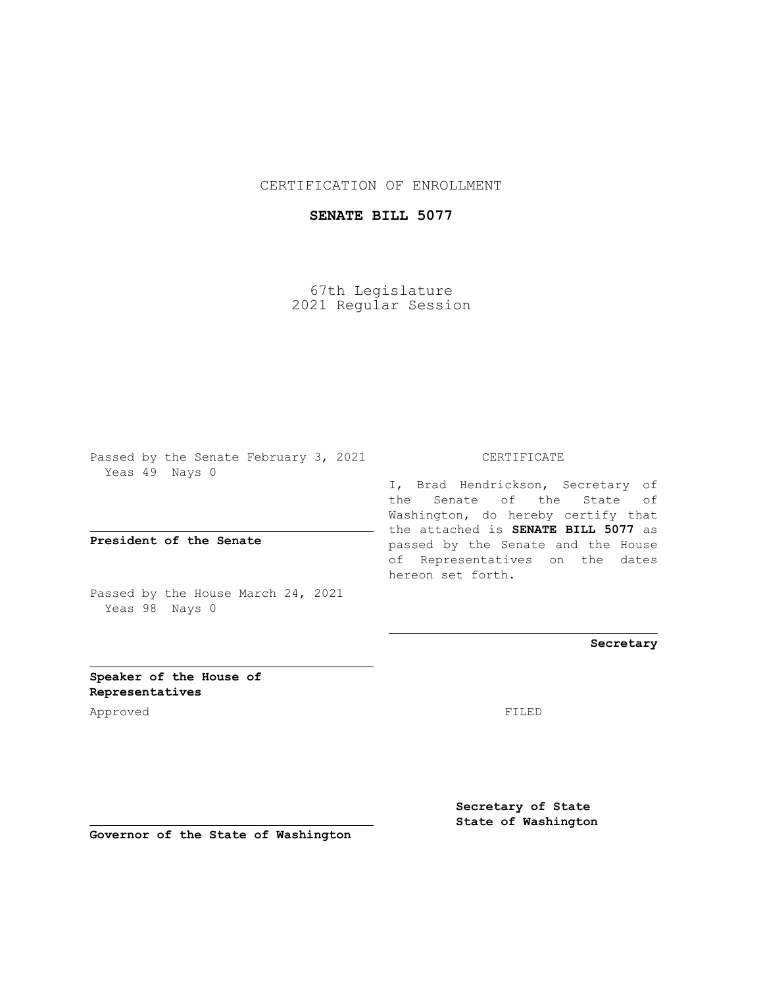## CERTIFICATION OF ENROLLMENT

## **SENATE BILL 5077**

67th Legislature 2021 Regular Session

Passed by the Senate February 3, 2021 Yeas 49 Nays 0

**President of the Senate**

Passed by the House March 24, 2021 Yeas 98 Nays 0

CERTIFICATE

I, Brad Hendrickson, Secretary of the Senate of the State of Washington, do hereby certify that the attached is **SENATE BILL 5077** as passed by the Senate and the House of Representatives on the dates hereon set forth.

**Secretary**

**Speaker of the House of Representatives**

Approved FILED

**Secretary of State State of Washington**

**Governor of the State of Washington**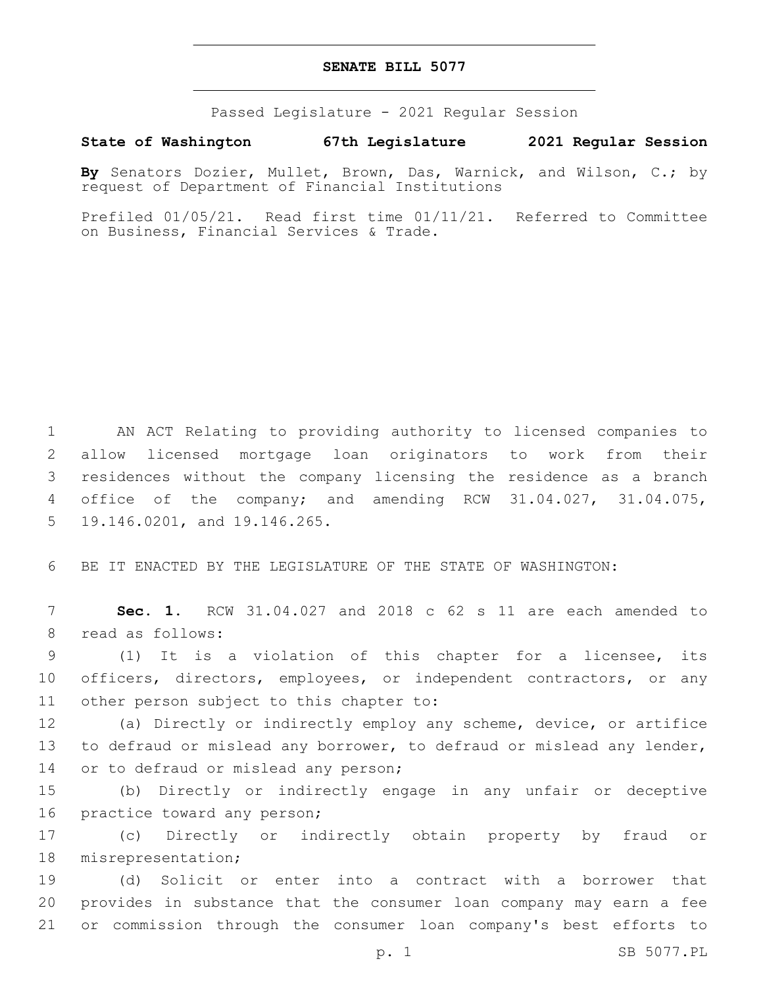## **SENATE BILL 5077**

Passed Legislature - 2021 Regular Session

**State of Washington 67th Legislature 2021 Regular Session**

**By** Senators Dozier, Mullet, Brown, Das, Warnick, and Wilson, C.; by request of Department of Financial Institutions

Prefiled 01/05/21. Read first time 01/11/21. Referred to Committee on Business, Financial Services & Trade.

 AN ACT Relating to providing authority to licensed companies to allow licensed mortgage loan originators to work from their residences without the company licensing the residence as a branch office of the company; and amending RCW 31.04.027, 31.04.075, 5 19.146.0201, and 19.146.265.

6 BE IT ENACTED BY THE LEGISLATURE OF THE STATE OF WASHINGTON:

7 **Sec. 1.** RCW 31.04.027 and 2018 c 62 s 11 are each amended to 8 read as follows:

9 (1) It is a violation of this chapter for a licensee, its 10 officers, directors, employees, or independent contractors, or any 11 other person subject to this chapter to:

12 (a) Directly or indirectly employ any scheme, device, or artifice 13 to defraud or mislead any borrower, to defraud or mislead any lender, 14 or to defraud or mislead any person;

15 (b) Directly or indirectly engage in any unfair or deceptive 16 practice toward any person;

17 (c) Directly or indirectly obtain property by fraud or 18 misrepresentation;

19 (d) Solicit or enter into a contract with a borrower that 20 provides in substance that the consumer loan company may earn a fee 21 or commission through the consumer loan company's best efforts to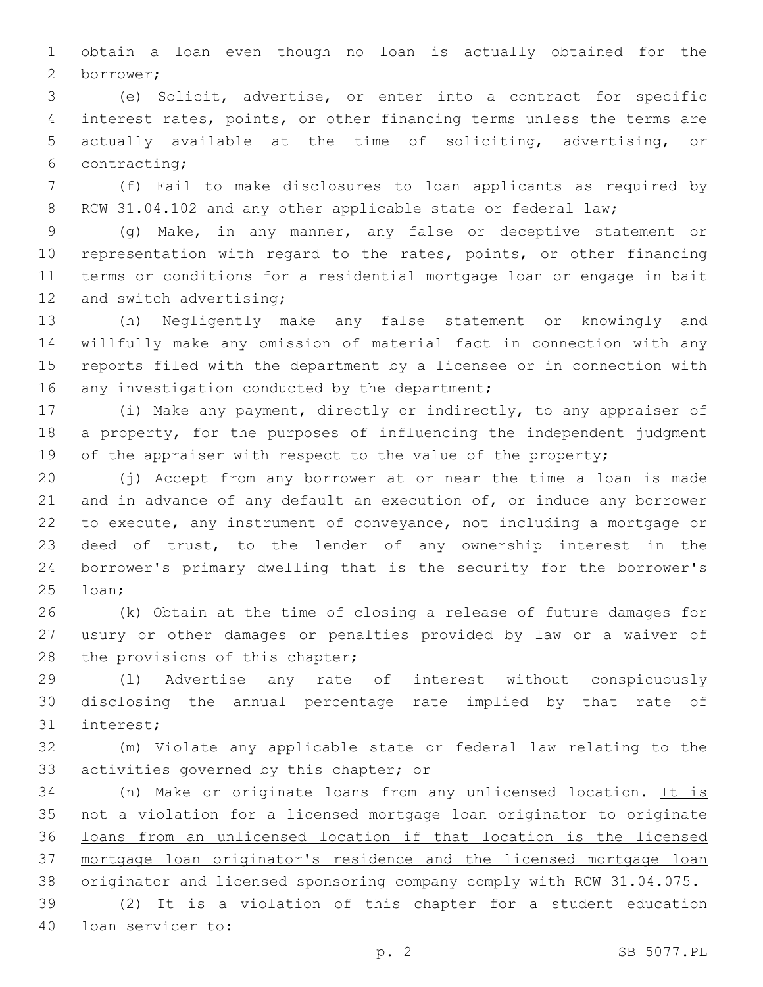obtain a loan even though no loan is actually obtained for the borrower;2

 (e) Solicit, advertise, or enter into a contract for specific interest rates, points, or other financing terms unless the terms are actually available at the time of soliciting, advertising, or 6 contracting;

 (f) Fail to make disclosures to loan applicants as required by 8 RCW 31.04.102 and any other applicable state or federal law;

 (g) Make, in any manner, any false or deceptive statement or representation with regard to the rates, points, or other financing terms or conditions for a residential mortgage loan or engage in bait 12 and switch advertising;

 (h) Negligently make any false statement or knowingly and willfully make any omission of material fact in connection with any reports filed with the department by a licensee or in connection with 16 any investigation conducted by the department;

 (i) Make any payment, directly or indirectly, to any appraiser of a property, for the purposes of influencing the independent judgment 19 of the appraiser with respect to the value of the property;

 (j) Accept from any borrower at or near the time a loan is made 21 and in advance of any default an execution of, or induce any borrower to execute, any instrument of conveyance, not including a mortgage or deed of trust, to the lender of any ownership interest in the borrower's primary dwelling that is the security for the borrower's 25 loan;

 (k) Obtain at the time of closing a release of future damages for usury or other damages or penalties provided by law or a waiver of 28 the provisions of this chapter;

 (l) Advertise any rate of interest without conspicuously disclosing the annual percentage rate implied by that rate of 31 interest;

 (m) Violate any applicable state or federal law relating to the 33 activities governed by this chapter; or

 (n) Make or originate loans from any unlicensed location. It is not a violation for a licensed mortgage loan originator to originate loans from an unlicensed location if that location is the licensed mortgage loan originator's residence and the licensed mortgage loan 38 originator and licensed sponsoring company comply with RCW 31.04.075.

 (2) It is a violation of this chapter for a student education 40 loan servicer to: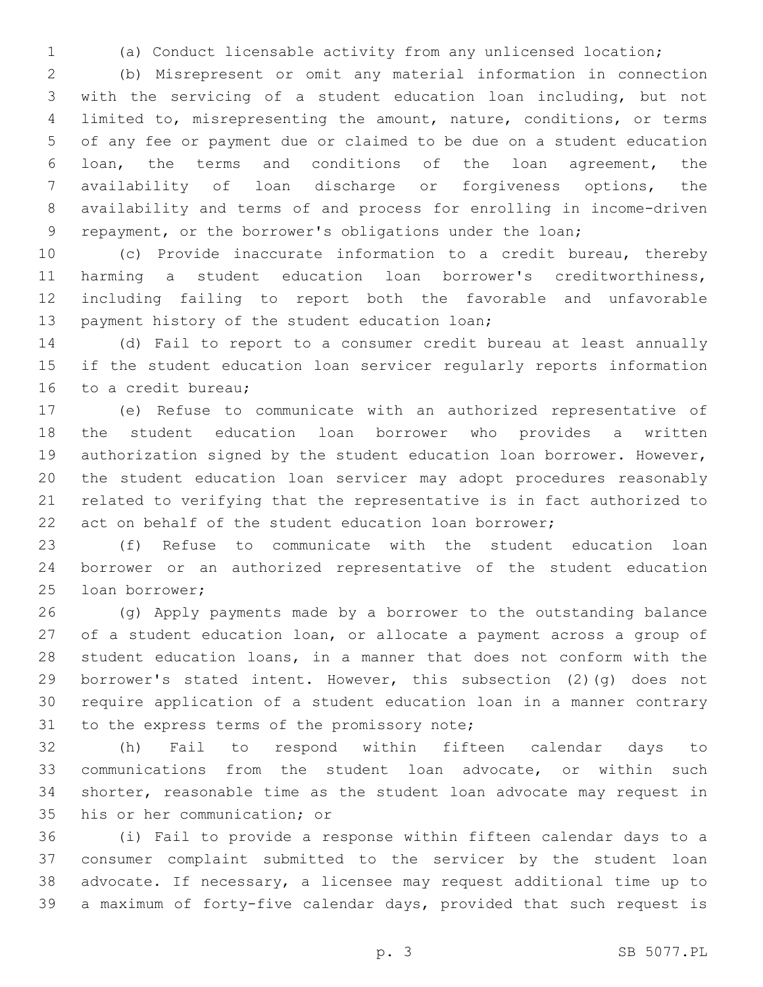(a) Conduct licensable activity from any unlicensed location;

 (b) Misrepresent or omit any material information in connection with the servicing of a student education loan including, but not limited to, misrepresenting the amount, nature, conditions, or terms of any fee or payment due or claimed to be due on a student education loan, the terms and conditions of the loan agreement, the availability of loan discharge or forgiveness options, the availability and terms of and process for enrolling in income-driven repayment, or the borrower's obligations under the loan;

 (c) Provide inaccurate information to a credit bureau, thereby harming a student education loan borrower's creditworthiness, including failing to report both the favorable and unfavorable 13 payment history of the student education loan;

 (d) Fail to report to a consumer credit bureau at least annually if the student education loan servicer regularly reports information 16 to a credit bureau:

 (e) Refuse to communicate with an authorized representative of the student education loan borrower who provides a written authorization signed by the student education loan borrower. However, the student education loan servicer may adopt procedures reasonably related to verifying that the representative is in fact authorized to act on behalf of the student education loan borrower;

 (f) Refuse to communicate with the student education loan borrower or an authorized representative of the student education 25 loan borrower;

 (g) Apply payments made by a borrower to the outstanding balance of a student education loan, or allocate a payment across a group of student education loans, in a manner that does not conform with the borrower's stated intent. However, this subsection (2)(g) does not require application of a student education loan in a manner contrary 31 to the express terms of the promissory note;

 (h) Fail to respond within fifteen calendar days to communications from the student loan advocate, or within such shorter, reasonable time as the student loan advocate may request in 35 his or her communication; or

 (i) Fail to provide a response within fifteen calendar days to a consumer complaint submitted to the servicer by the student loan advocate. If necessary, a licensee may request additional time up to a maximum of forty-five calendar days, provided that such request is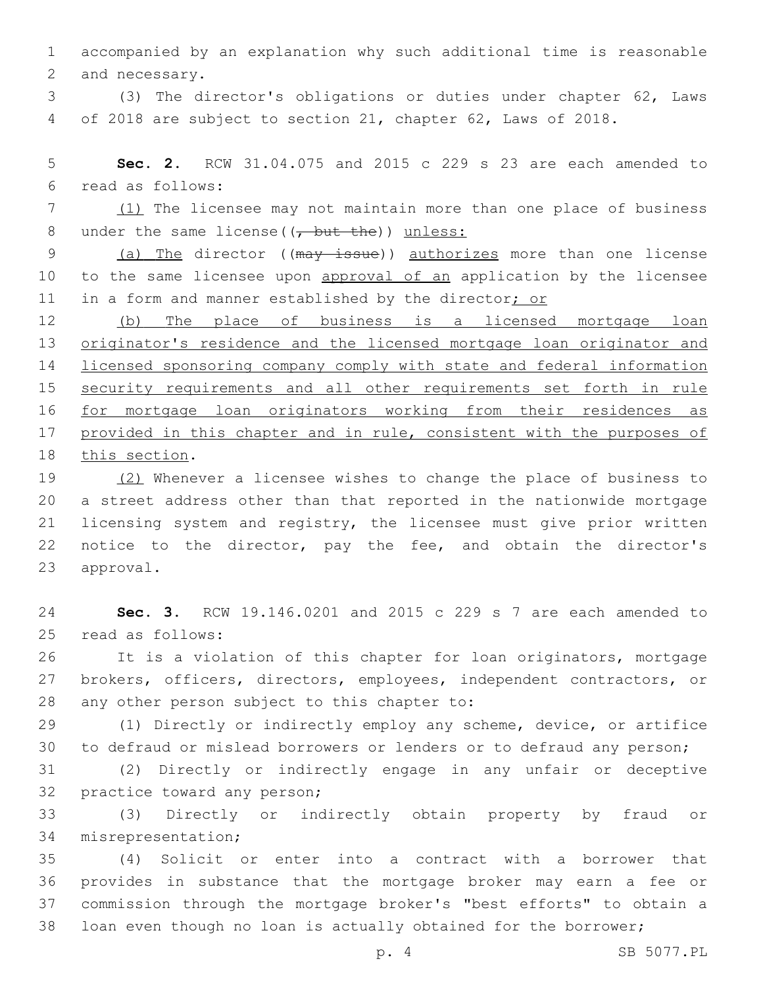accompanied by an explanation why such additional time is reasonable 2 and necessary.

 (3) The director's obligations or duties under chapter 62, Laws of 2018 are subject to section 21, chapter 62, Laws of 2018.

 **Sec. 2.** RCW 31.04.075 and 2015 c 229 s 23 are each amended to read as follows:6

7 (1) The licensee may not maintain more than one place of business 8 under the same license( $(\tau$  but the)) unless:

9 (a) The director ((may issue)) authorizes more than one license 10 to the same licensee upon approval of an application by the licensee 11 in a form and manner established by the director; or

 (b) The place of business is a licensed mortgage loan originator's residence and the licensed mortgage loan originator and licensed sponsoring company comply with state and federal information security requirements and all other requirements set forth in rule for mortgage loan originators working from their residences as provided in this chapter and in rule, consistent with the purposes of 18 this section.

19 (2) Whenever a licensee wishes to change the place of business to a street address other than that reported in the nationwide mortgage licensing system and registry, the licensee must give prior written notice to the director, pay the fee, and obtain the director's 23 approval.

 **Sec. 3.** RCW 19.146.0201 and 2015 c 229 s 7 are each amended to 25 read as follows:

 It is a violation of this chapter for loan originators, mortgage brokers, officers, directors, employees, independent contractors, or 28 any other person subject to this chapter to:

 (1) Directly or indirectly employ any scheme, device, or artifice to defraud or mislead borrowers or lenders or to defraud any person;

 (2) Directly or indirectly engage in any unfair or deceptive 32 practice toward any person;

 (3) Directly or indirectly obtain property by fraud or 34 misrepresentation;

 (4) Solicit or enter into a contract with a borrower that provides in substance that the mortgage broker may earn a fee or commission through the mortgage broker's "best efforts" to obtain a loan even though no loan is actually obtained for the borrower;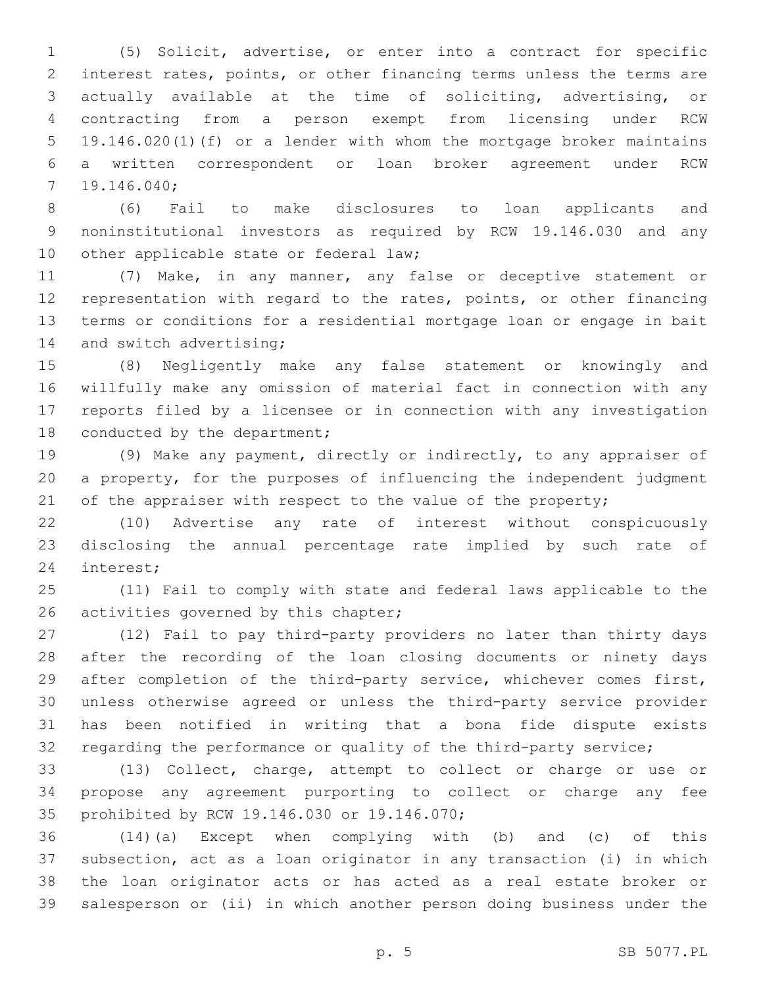(5) Solicit, advertise, or enter into a contract for specific interest rates, points, or other financing terms unless the terms are actually available at the time of soliciting, advertising, or contracting from a person exempt from licensing under RCW 19.146.020(1)(f) or a lender with whom the mortgage broker maintains a written correspondent or loan broker agreement under RCW 19.146.040;7

 (6) Fail to make disclosures to loan applicants and noninstitutional investors as required by RCW 19.146.030 and any 10 other applicable state or federal law;

 (7) Make, in any manner, any false or deceptive statement or representation with regard to the rates, points, or other financing terms or conditions for a residential mortgage loan or engage in bait 14 and switch advertising;

 (8) Negligently make any false statement or knowingly and willfully make any omission of material fact in connection with any reports filed by a licensee or in connection with any investigation 18 conducted by the department;

 (9) Make any payment, directly or indirectly, to any appraiser of a property, for the purposes of influencing the independent judgment 21 of the appraiser with respect to the value of the property;

 (10) Advertise any rate of interest without conspicuously disclosing the annual percentage rate implied by such rate of 24 interest;

 (11) Fail to comply with state and federal laws applicable to the 26 activities governed by this chapter;

 (12) Fail to pay third-party providers no later than thirty days after the recording of the loan closing documents or ninety days after completion of the third-party service, whichever comes first, unless otherwise agreed or unless the third-party service provider has been notified in writing that a bona fide dispute exists regarding the performance or quality of the third-party service;

 (13) Collect, charge, attempt to collect or charge or use or propose any agreement purporting to collect or charge any fee 35 prohibited by RCW 19.146.030 or 19.146.070;

 (14)(a) Except when complying with (b) and (c) of this subsection, act as a loan originator in any transaction (i) in which the loan originator acts or has acted as a real estate broker or salesperson or (ii) in which another person doing business under the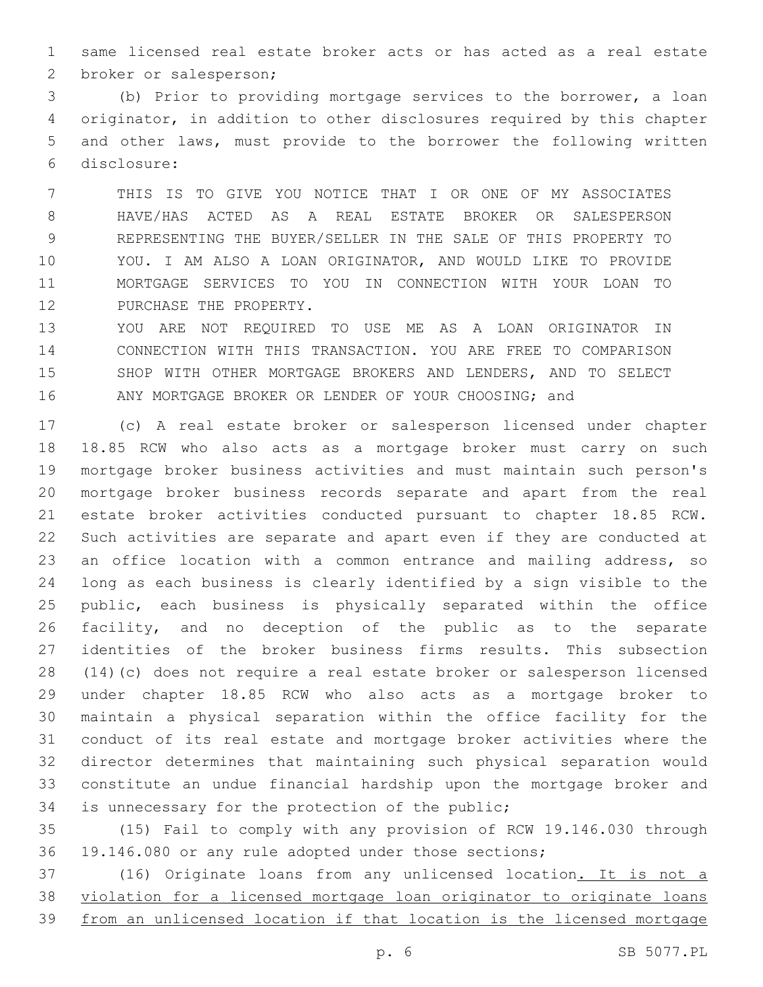same licensed real estate broker acts or has acted as a real estate 2 broker or salesperson;

 (b) Prior to providing mortgage services to the borrower, a loan originator, in addition to other disclosures required by this chapter and other laws, must provide to the borrower the following written disclosure:6

 THIS IS TO GIVE YOU NOTICE THAT I OR ONE OF MY ASSOCIATES HAVE/HAS ACTED AS A REAL ESTATE BROKER OR SALESPERSON REPRESENTING THE BUYER/SELLER IN THE SALE OF THIS PROPERTY TO YOU. I AM ALSO A LOAN ORIGINATOR, AND WOULD LIKE TO PROVIDE MORTGAGE SERVICES TO YOU IN CONNECTION WITH YOUR LOAN TO 12 PURCHASE THE PROPERTY.

 YOU ARE NOT REQUIRED TO USE ME AS A LOAN ORIGINATOR IN CONNECTION WITH THIS TRANSACTION. YOU ARE FREE TO COMPARISON SHOP WITH OTHER MORTGAGE BROKERS AND LENDERS, AND TO SELECT ANY MORTGAGE BROKER OR LENDER OF YOUR CHOOSING; and

 (c) A real estate broker or salesperson licensed under chapter 18.85 RCW who also acts as a mortgage broker must carry on such mortgage broker business activities and must maintain such person's mortgage broker business records separate and apart from the real estate broker activities conducted pursuant to chapter 18.85 RCW. Such activities are separate and apart even if they are conducted at 23 an office location with a common entrance and mailing address, so long as each business is clearly identified by a sign visible to the public, each business is physically separated within the office facility, and no deception of the public as to the separate identities of the broker business firms results. This subsection (14)(c) does not require a real estate broker or salesperson licensed under chapter 18.85 RCW who also acts as a mortgage broker to maintain a physical separation within the office facility for the conduct of its real estate and mortgage broker activities where the director determines that maintaining such physical separation would constitute an undue financial hardship upon the mortgage broker and 34 is unnecessary for the protection of the public;

 (15) Fail to comply with any provision of RCW 19.146.030 through 19.146.080 or any rule adopted under those sections;

 (16) Originate loans from any unlicensed location. It is not a violation for a licensed mortgage loan originator to originate loans from an unlicensed location if that location is the licensed mortgage